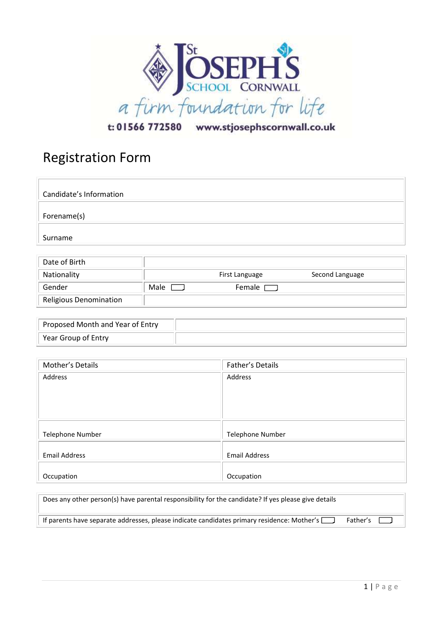

t: 01566 772580 www.stjosephscornwall.co.uk

## Registration Form

| Candidate's Information |  |
|-------------------------|--|
| Forename(s)             |  |
| Surname                 |  |

| Date of Birth          |      |                |                 |
|------------------------|------|----------------|-----------------|
| Nationality            |      | First Language | Second Language |
| Gender                 | Male | Female $\Box$  |                 |
| Religious Denomination |      |                |                 |

| Proposed Month and Year of Entry |  |
|----------------------------------|--|
| Year Group of Entry              |  |

| Mother's Details        | Father's Details        |
|-------------------------|-------------------------|
| Address                 | Address                 |
| <b>Telephone Number</b> | <b>Telephone Number</b> |
| <b>Email Address</b>    | <b>Email Address</b>    |
| Occupation              | Occupation              |

| Does any other person(s) have parental responsibility for the candidate? If yes please give details |            |  |
|-----------------------------------------------------------------------------------------------------|------------|--|
| If parents have separate addresses, please indicate candidates primary residence: Mother's $\Box$   | Father's 1 |  |